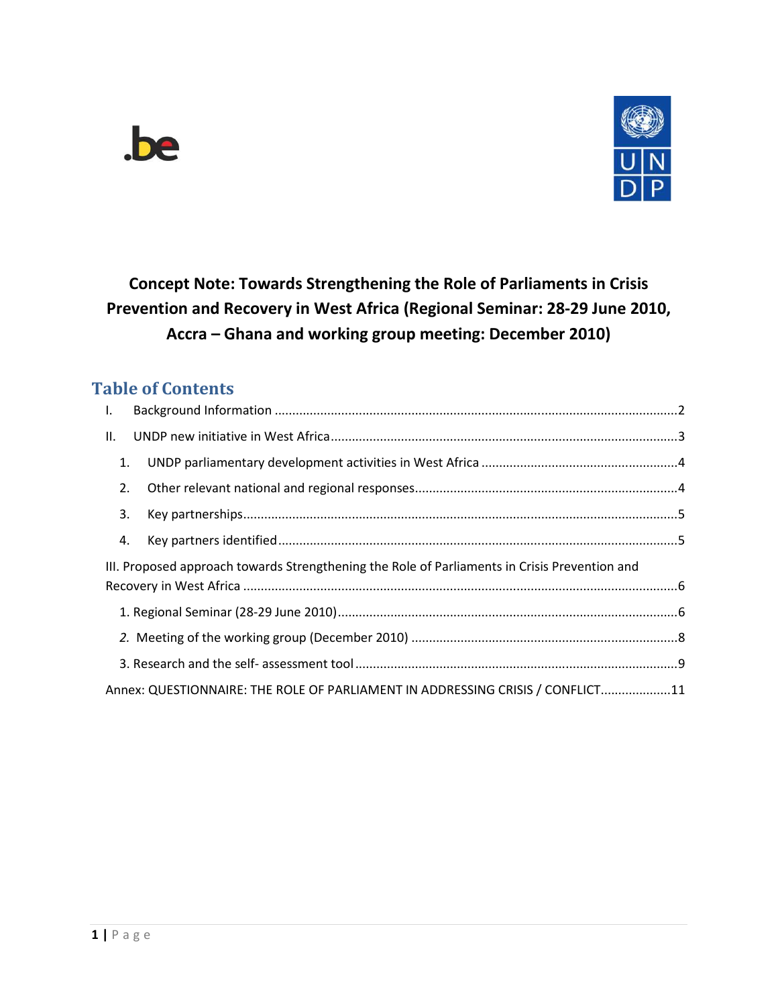



**Concept Note: Towards Strengthening the Role of Parliaments in Crisis Prevention and Recovery in West Africa (Regional Seminar: 28-29 June 2010, Accra – Ghana and working group meeting: December 2010)** 

# **Table of Contents**

| $\mathbf{L}$ |                                                                                               |  |
|--------------|-----------------------------------------------------------------------------------------------|--|
| II.          |                                                                                               |  |
| 1.           |                                                                                               |  |
| 2.           |                                                                                               |  |
| 3.           |                                                                                               |  |
| 4.           |                                                                                               |  |
|              |                                                                                               |  |
|              | III. Proposed approach towards Strengthening the Role of Parliaments in Crisis Prevention and |  |
|              |                                                                                               |  |
|              |                                                                                               |  |
|              |                                                                                               |  |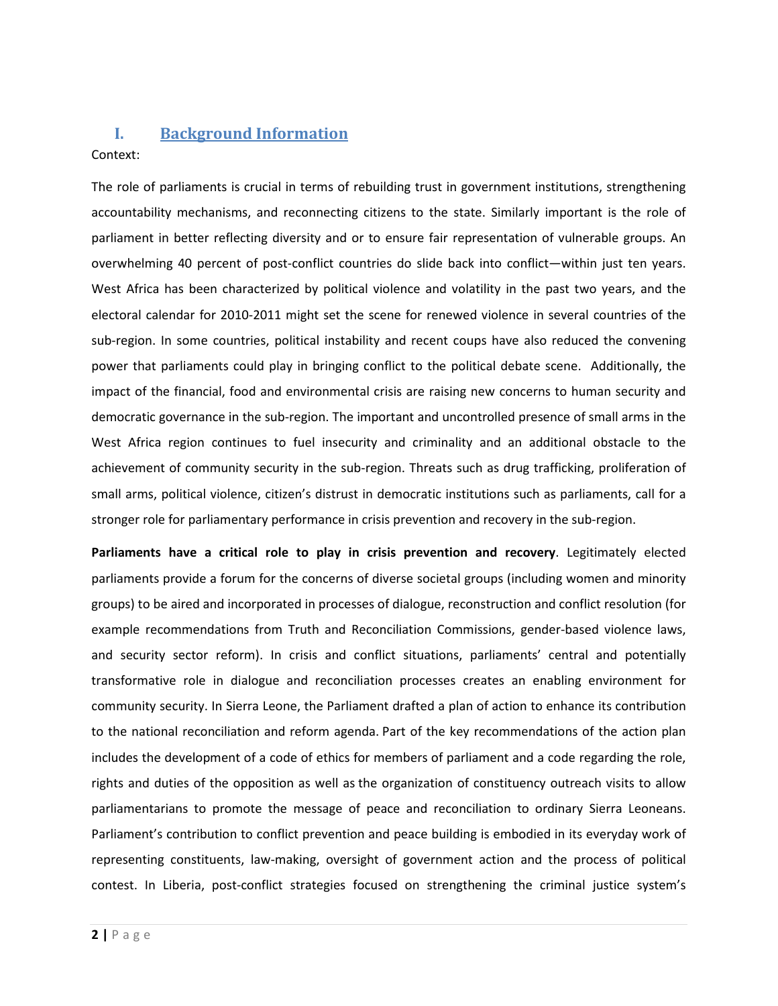## <span id="page-1-0"></span>**I. Background Information**

### Context:

The role of parliaments is crucial in terms of rebuilding trust in government institutions, strengthening accountability mechanisms, and reconnecting citizens to the state. Similarly important is the role of parliament in better reflecting diversity and or to ensure fair representation of vulnerable groups. An overwhelming 40 percent of post-conflict countries do slide back into conflict—within just ten years. West Africa has been characterized by political violence and volatility in the past two years, and the electoral calendar for 2010-2011 might set the scene for renewed violence in several countries of the sub-region. In some countries, political instability and recent coups have also reduced the convening power that parliaments could play in bringing conflict to the political debate scene. Additionally, the impact of the financial, food and environmental crisis are raising new concerns to human security and democratic governance in the sub-region. The important and uncontrolled presence of small arms in the West Africa region continues to fuel insecurity and criminality and an additional obstacle to the achievement of community security in the sub-region. Threats such as drug trafficking, proliferation of small arms, political violence, citizen's distrust in democratic institutions such as parliaments, call for a stronger role for parliamentary performance in crisis prevention and recovery in the sub-region.

**Parliaments have a critical role to play in crisis prevention and recovery**. Legitimately elected parliaments provide a forum for the concerns of diverse societal groups (including women and minority groups) to be aired and incorporated in processes of dialogue, reconstruction and conflict resolution (for example recommendations from Truth and Reconciliation Commissions, gender-based violence laws, and security sector reform). In crisis and conflict situations, parliaments' central and potentially transformative role in dialogue and reconciliation processes creates an enabling environment for community security. In Sierra Leone, the Parliament drafted a plan of action to enhance its contribution to the national reconciliation and reform agenda. Part of the key recommendations of the action plan includes the development of a code of ethics for members of parliament and a code regarding the role, rights and duties of the opposition as well as the organization of constituency outreach visits to allow parliamentarians to promote the message of peace and reconciliation to ordinary Sierra Leoneans. Parliament's contribution to conflict prevention and peace building is embodied in its everyday work of representing constituents, law-making, oversight of government action and the process of political contest. In Liberia, post-conflict strategies focused on strengthening the criminal justice system's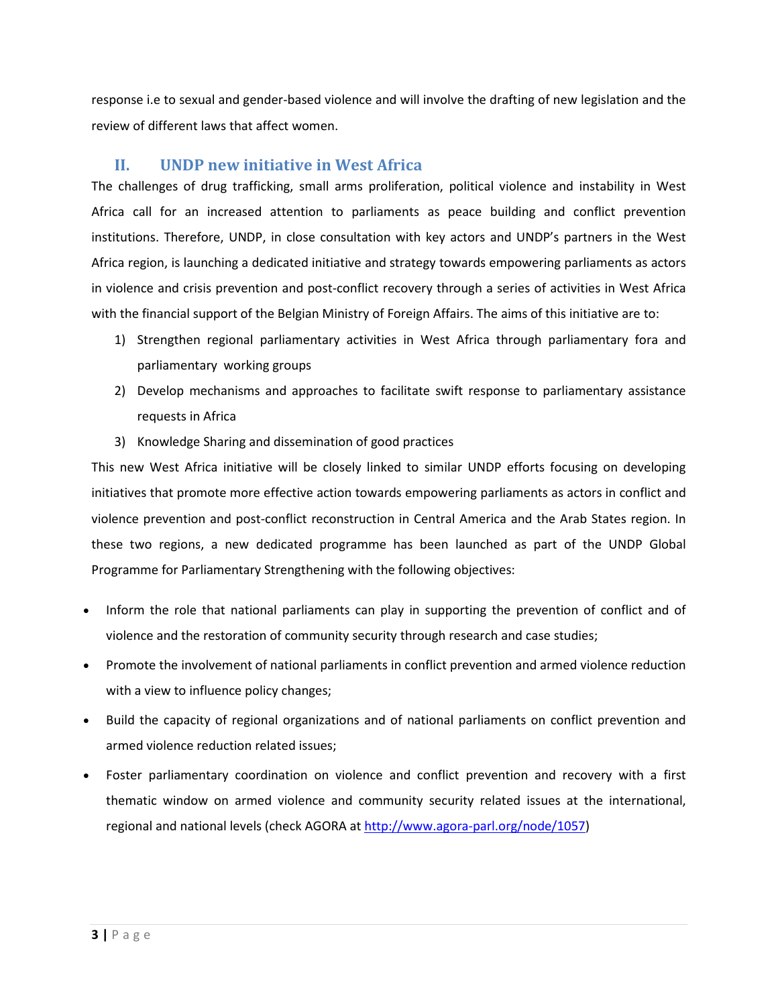<span id="page-2-0"></span>response i.e to sexual and gender-based violence and will involve the drafting of new legislation and the review of different laws that affect women.

## **II. UNDP new initiative in West Africa**

The challenges of drug trafficking, small arms proliferation, political violence and instability in West Africa call for an increased attention to parliaments as peace building and conflict prevention institutions. Therefore, UNDP, in close consultation with key actors and UNDP's partners in the West Africa region, is launching a dedicated initiative and strategy towards empowering parliaments as actors in violence and crisis prevention and post-conflict recovery through a series of activities in West Africa with the financial support of the Belgian Ministry of Foreign Affairs. The aims of this initiative are to:

- 1) Strengthen regional parliamentary activities in West Africa through parliamentary fora and parliamentary working groups
- 2) Develop mechanisms and approaches to facilitate swift response to parliamentary assistance requests in Africa
- 3) Knowledge Sharing and dissemination of good practices

This new West Africa initiative will be closely linked to similar UNDP efforts focusing on developing initiatives that promote more effective action towards empowering parliaments as actors in conflict and violence prevention and post-conflict reconstruction in Central America and the Arab States region. In these two regions, a new dedicated programme has been launched as part of the UNDP Global Programme for Parliamentary Strengthening with the following objectives:

- Inform the role that national parliaments can play in supporting the prevention of conflict and of violence and the restoration of community security through research and case studies;
- Promote the involvement of national parliaments in conflict prevention and armed violence reduction with a view to influence policy changes;
- Build the capacity of regional organizations and of national parliaments on conflict prevention and armed violence reduction related issues;
- Foster parliamentary coordination on violence and conflict prevention and recovery with a first thematic window on armed violence and community security related issues at the international, regional and national levels (check AGORA at [http://www.agora-parl.org/node/1057\)](http://www.agora-parl.org/node/1057)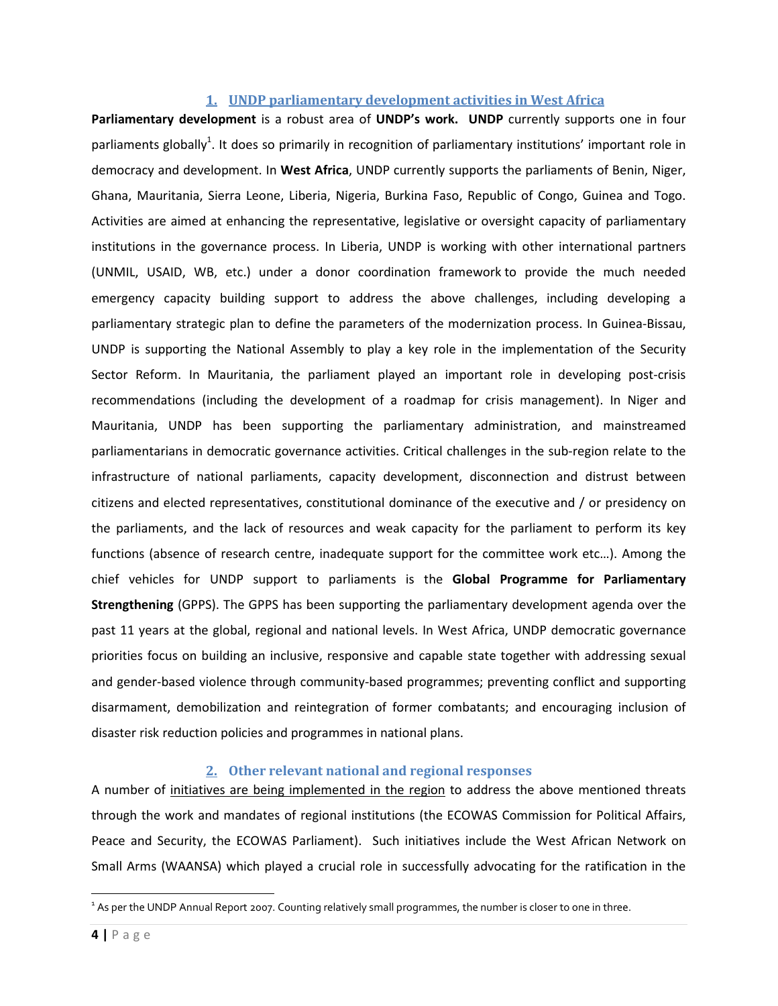#### **1. UNDP parliamentary development activities in West Africa**

<span id="page-3-0"></span>**Parliamentary development** is a robust area of **UNDP's work. UNDP** currently supports one in four parliaments globally<sup>1</sup>. It does so primarily in recognition of parliamentary institutions' important role in democracy and development. In **West Africa**, UNDP currently supports the parliaments of Benin, Niger, Ghana, Mauritania, Sierra Leone, Liberia, Nigeria, Burkina Faso, Republic of Congo, Guinea and Togo. Activities are aimed at enhancing the representative, legislative or oversight capacity of parliamentary institutions in the governance process. In Liberia, UNDP is working with other international partners (UNMIL, USAID, WB, etc.) under a donor coordination framework to provide the much needed emergency capacity building support to address the above challenges, including developing a parliamentary strategic plan to define the parameters of the modernization process. In Guinea-Bissau, UNDP is supporting the National Assembly to play a key role in the implementation of the Security Sector Reform. In Mauritania, the parliament played an important role in developing post-crisis recommendations (including the development of a roadmap for crisis management). In Niger and Mauritania, UNDP has been supporting the parliamentary administration, and mainstreamed parliamentarians in democratic governance activities. Critical challenges in the sub-region relate to the infrastructure of national parliaments, capacity development, disconnection and distrust between citizens and elected representatives, constitutional dominance of the executive and / or presidency on the parliaments, and the lack of resources and weak capacity for the parliament to perform its key functions (absence of research centre, inadequate support for the committee work etc…). Among the chief vehicles for UNDP support to parliaments is the **Global Programme for Parliamentary Strengthening** (GPPS). The GPPS has been supporting the parliamentary development agenda over the past 11 years at the global, regional and national levels. In West Africa, UNDP democratic governance priorities focus on building an inclusive, responsive and capable state together with addressing sexual and gender-based violence through community-based programmes; preventing conflict and supporting disarmament, demobilization and reintegration of former combatants; and encouraging inclusion of disaster risk reduction policies and programmes in national plans.

#### **2. Other relevant national and regional responses**

A number of initiatives are being implemented in the region to address the above mentioned threats through the work and mandates of regional institutions (the ECOWAS Commission for Political Affairs, Peace and Security, the ECOWAS Parliament). Such initiatives include the West African Network on Small Arms (WAANSA) which played a crucial role in successfully advocating for the ratification in the

l

 $^1$  As per the UNDP Annual Report 2007. Counting relatively small programmes, the number is closer to one in three.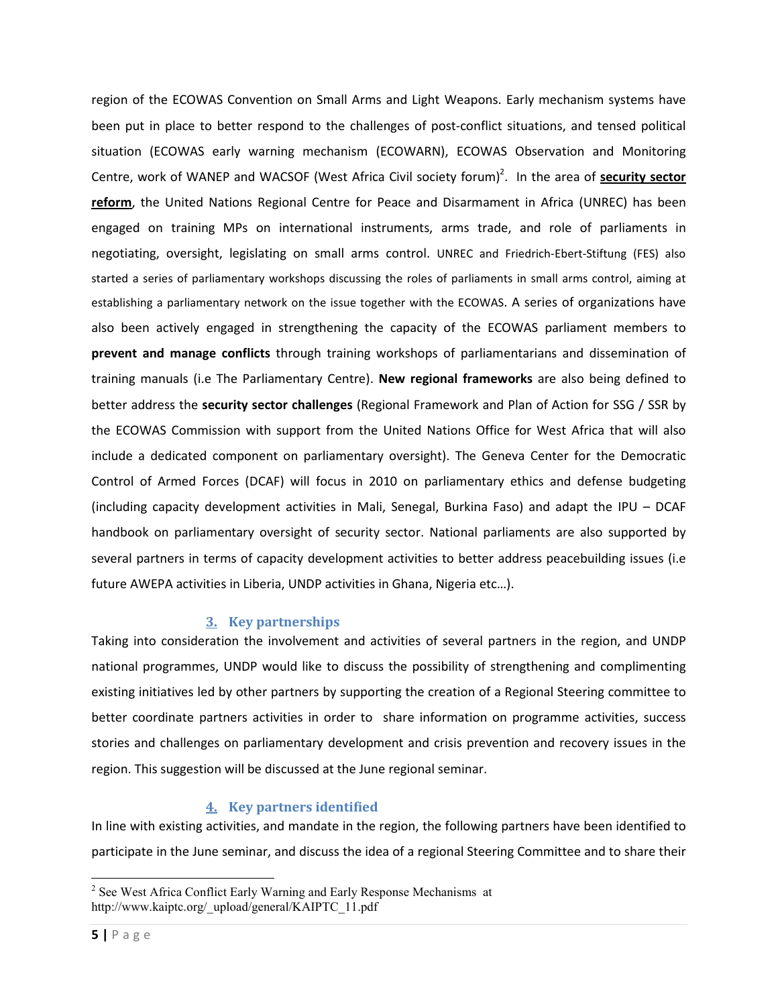<span id="page-4-0"></span>region of the ECOWAS Convention on Small Arms and Light Weapons. Early mechanism systems have been put in place to better respond to the challenges of post-conflict situations, and tensed political situation (ECOWAS early warning mechanism (ECOWARN), ECOWAS Observation and Monitoring Centre, work of WANEP and WACSOF (West Africa Civil society forum)<sup>2</sup>. In the area of **security sector reform**, the United Nations Regional Centre for Peace and Disarmament in Africa (UNREC) has been engaged on training MPs on international instruments, arms trade, and role of parliaments in negotiating, oversight, legislating on small arms control. UNREC and Friedrich-Ebert-Stiftung (FES) also started a series of parliamentary workshops discussing the roles of parliaments in small arms control, aiming at establishing a parliamentary network on the issue together with the ECOWAS. A series of organizations have also been actively engaged in strengthening the capacity of the ECOWAS parliament members to **prevent and manage conflicts** through training workshops of parliamentarians and dissemination of training manuals (i.e The Parliamentary Centre). **New regional frameworks** are also being defined to better address the **security sector challenges** (Regional Framework and Plan of Action for SSG / SSR by the ECOWAS Commission with support from the United Nations Office for West Africa that will also include a dedicated component on parliamentary oversight). The Geneva Center for the Democratic Control of Armed Forces (DCAF) will focus in 2010 on parliamentary ethics and defense budgeting (including capacity development activities in Mali, Senegal, Burkina Faso) and adapt the IPU – DCAF handbook on parliamentary oversight of security sector. National parliaments are also supported by several partners in terms of capacity development activities to better address peacebuilding issues (i.e future AWEPA activities in Liberia, UNDP activities in Ghana, Nigeria etc…).

### **3. Key partnerships**

Taking into consideration the involvement and activities of several partners in the region, and UNDP national programmes, UNDP would like to discuss the possibility of strengthening and complimenting existing initiatives led by other partners by supporting the creation of a Regional Steering committee to better coordinate partners activities in order to share information on programme activities, success stories and challenges on parliamentary development and crisis prevention and recovery issues in the region. This suggestion will be discussed at the June regional seminar.

## **4. Key partners identified**

In line with existing activities, and mandate in the region, the following partners have been identified to participate in the June seminar, and discuss the idea of a regional Steering Committee and to share their

 $\overline{\phantom{0}}$ 

 $2^2$  See West Africa Conflict Early Warning and Early Response Mechanisms at http://www.kaiptc.org/\_upload/general/KAIPTC\_11.pdf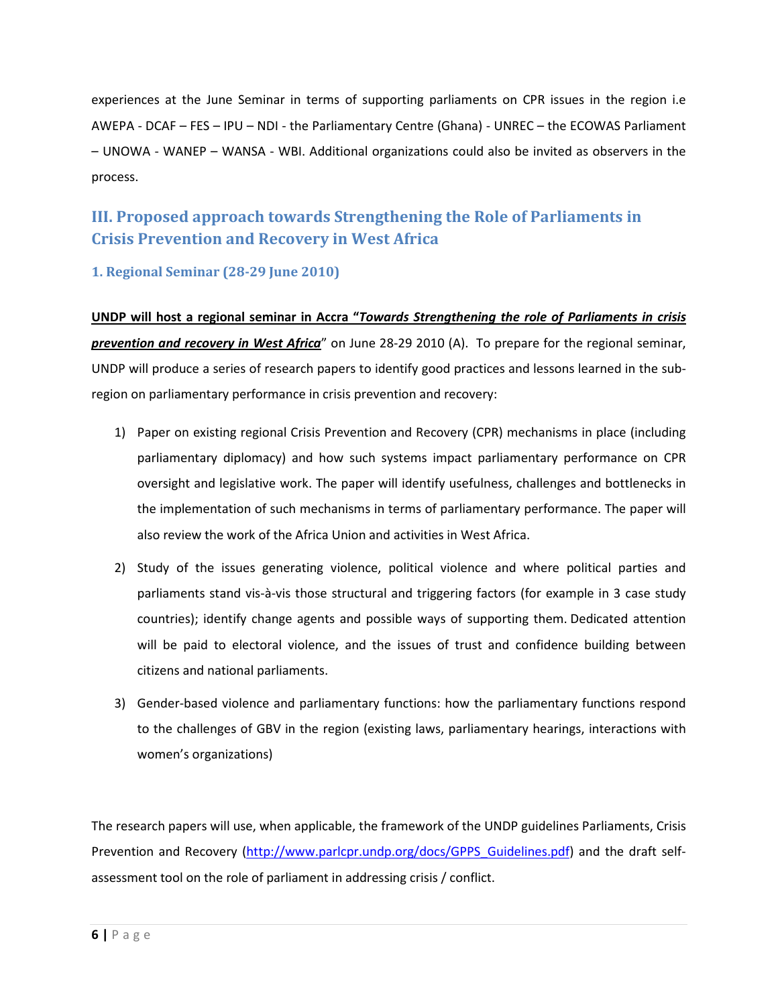<span id="page-5-0"></span>experiences at the June Seminar in terms of supporting parliaments on CPR issues in the region i.e AWEPA - DCAF – FES – IPU – NDI - the Parliamentary Centre (Ghana) - UNREC – the ECOWAS Parliament – UNOWA - WANEP – WANSA - WBI. Additional organizations could also be invited as observers in the process.

# **III. Proposed approach towards Strengthening the Role of Parliaments in Crisis Prevention and Recovery in West Africa**

**1. Regional Seminar (28-29 June 2010)** 

**UNDP will host a regional seminar in Accra "***Towards Strengthening the role of Parliaments in crisis prevention and recovery in West Africa*" on June 28-29 2010 (A). To prepare for the regional seminar, UNDP will produce a series of research papers to identify good practices and lessons learned in the subregion on parliamentary performance in crisis prevention and recovery:

- 1) Paper on existing regional Crisis Prevention and Recovery (CPR) mechanisms in place (including parliamentary diplomacy) and how such systems impact parliamentary performance on CPR oversight and legislative work. The paper will identify usefulness, challenges and bottlenecks in the implementation of such mechanisms in terms of parliamentary performance. The paper will also review the work of the Africa Union and activities in West Africa.
- 2) Study of the issues generating violence, political violence and where political parties and parliaments stand vis-à-vis those structural and triggering factors (for example in 3 case study countries); identify change agents and possible ways of supporting them. Dedicated attention will be paid to electoral violence, and the issues of trust and confidence building between citizens and national parliaments.
- 3) Gender-based violence and parliamentary functions: how the parliamentary functions respond to the challenges of GBV in the region (existing laws, parliamentary hearings, interactions with women's organizations)

The research papers will use, when applicable, the framework of the UNDP guidelines Parliaments, Crisis Prevention and Recovery ([http://www.parlcpr.undp.org/docs/GPPS\\_Guidelines.pdf\)](http://www.parlcpr.undp.org/docs/GPPS_Guidelines.pdf) and the draft selfassessment tool on the role of parliament in addressing crisis / conflict.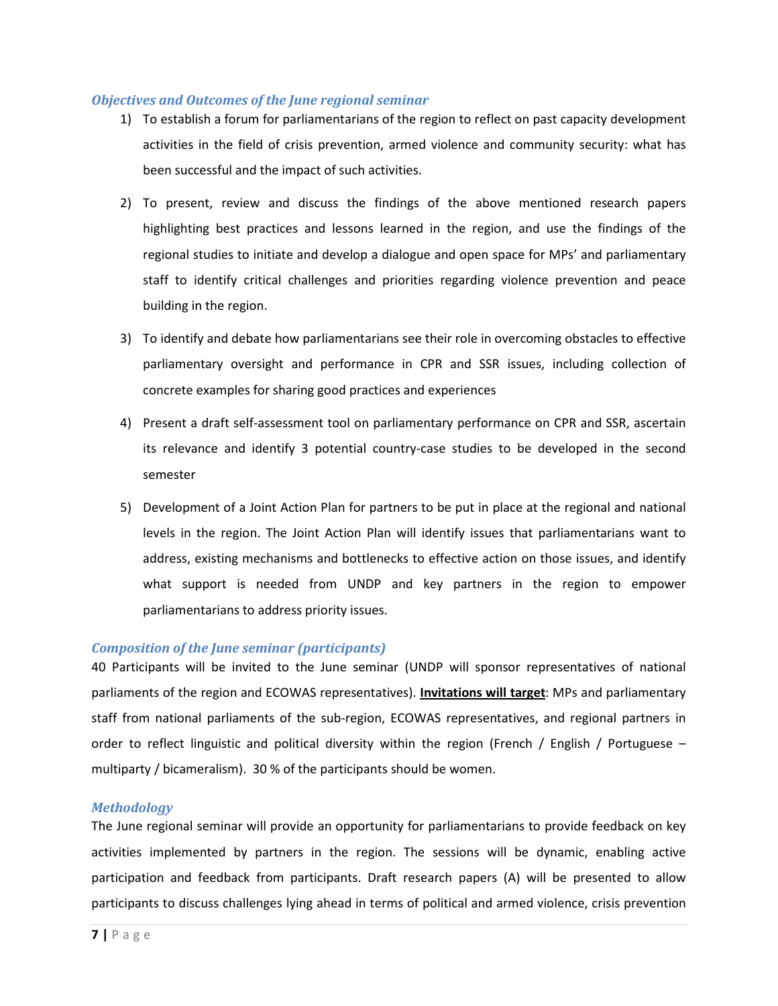#### *Objectives and Outcomes of the June regional seminar*

- 1) To establish a forum for parliamentarians of the region to reflect on past capacity development activities in the field of crisis prevention, armed violence and community security: what has been successful and the impact of such activities.
- 2) To present, review and discuss the findings of the above mentioned research papers highlighting best practices and lessons learned in the region, and use the findings of the regional studies to initiate and develop a dialogue and open space for MPs' and parliamentary staff to identify critical challenges and priorities regarding violence prevention and peace building in the region.
- 3) To identify and debate how parliamentarians see their role in overcoming obstacles to effective parliamentary oversight and performance in CPR and SSR issues, including collection of concrete examples for sharing good practices and experiences
- 4) Present a draft self-assessment tool on parliamentary performance on CPR and SSR, ascertain its relevance and identify 3 potential country-case studies to be developed in the second semester
- 5) Development of a Joint Action Plan for partners to be put in place at the regional and national levels in the region. The Joint Action Plan will identify issues that parliamentarians want to address, existing mechanisms and bottlenecks to effective action on those issues, and identify what support is needed from UNDP and key partners in the region to empower parliamentarians to address priority issues.

#### *Composition of the June seminar (participants)*

40 Participants will be invited to the June seminar (UNDP will sponsor representatives of national parliaments of the region and ECOWAS representatives). **Invitations will target**: MPs and parliamentary staff from national parliaments of the sub-region, ECOWAS representatives, and regional partners in order to reflect linguistic and political diversity within the region (French / English / Portuguese – multiparty / bicameralism). 30 % of the participants should be women.

#### *Methodology*

The June regional seminar will provide an opportunity for parliamentarians to provide feedback on key activities implemented by partners in the region. The sessions will be dynamic, enabling active participation and feedback from participants. Draft research papers (A) will be presented to allow participants to discuss challenges lying ahead in terms of political and armed violence, crisis prevention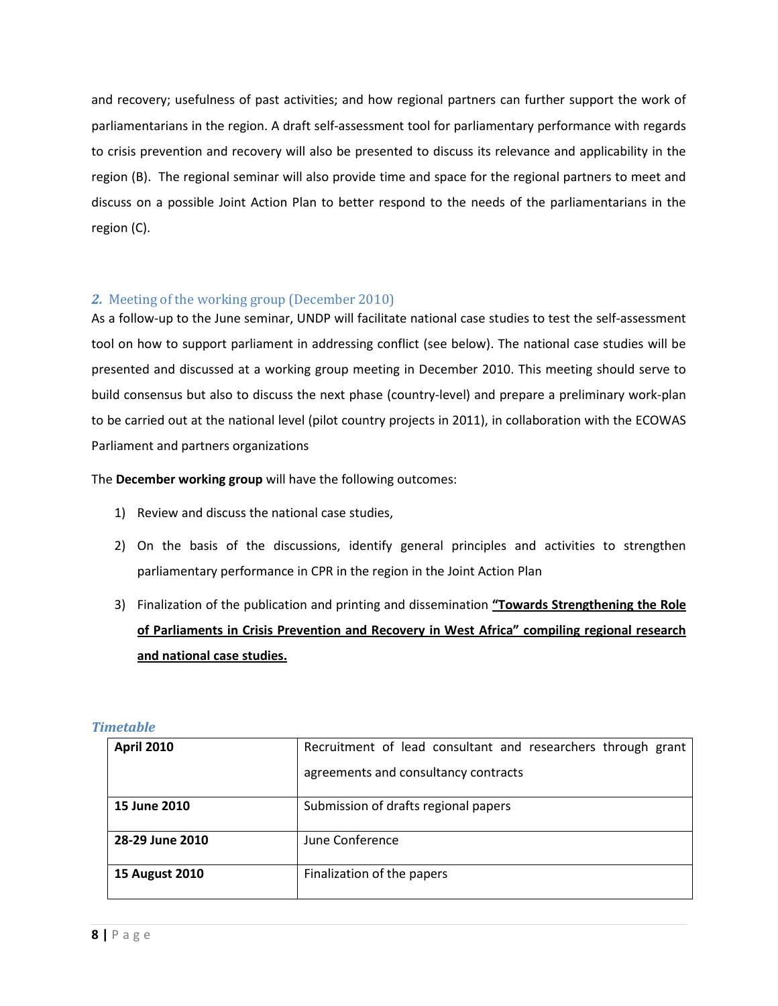<span id="page-7-0"></span>and recovery; usefulness of past activities; and how regional partners can further support the work of parliamentarians in the region. A draft self-assessment tool for parliamentary performance with regards to crisis prevention and recovery will also be presented to discuss its relevance and applicability in the region (B). The regional seminar will also provide time and space for the regional partners to meet and discuss on a possible Joint Action Plan to better respond to the needs of the parliamentarians in the region (C).

### *2.* Meeting of the working group (December 2010)

As a follow-up to the June seminar, UNDP will facilitate national case studies to test the self-assessment tool on how to support parliament in addressing conflict (see below). The national case studies will be presented and discussed at a working group meeting in December 2010. This meeting should serve to build consensus but also to discuss the next phase (country-level) and prepare a preliminary work-plan to be carried out at the national level (pilot country projects in 2011), in collaboration with the ECOWAS Parliament and partners organizations

The **December working group** will have the following outcomes:

- 1) Review and discuss the national case studies,
- 2) On the basis of the discussions, identify general principles and activities to strengthen parliamentary performance in CPR in the region in the Joint Action Plan
- 3) Finalization of the publication and printing and dissemination **"Towards Strengthening the Role of Parliaments in Crisis Prevention and Recovery in West Africa" compiling regional research and national case studies.**

| <b>April 2010</b>     | Recruitment of lead consultant and researchers through grant |  |
|-----------------------|--------------------------------------------------------------|--|
|                       | agreements and consultancy contracts                         |  |
| 15 June 2010          | Submission of drafts regional papers                         |  |
| 28-29 June 2010       | June Conference                                              |  |
| <b>15 August 2010</b> | Finalization of the papers                                   |  |

#### *Timetable*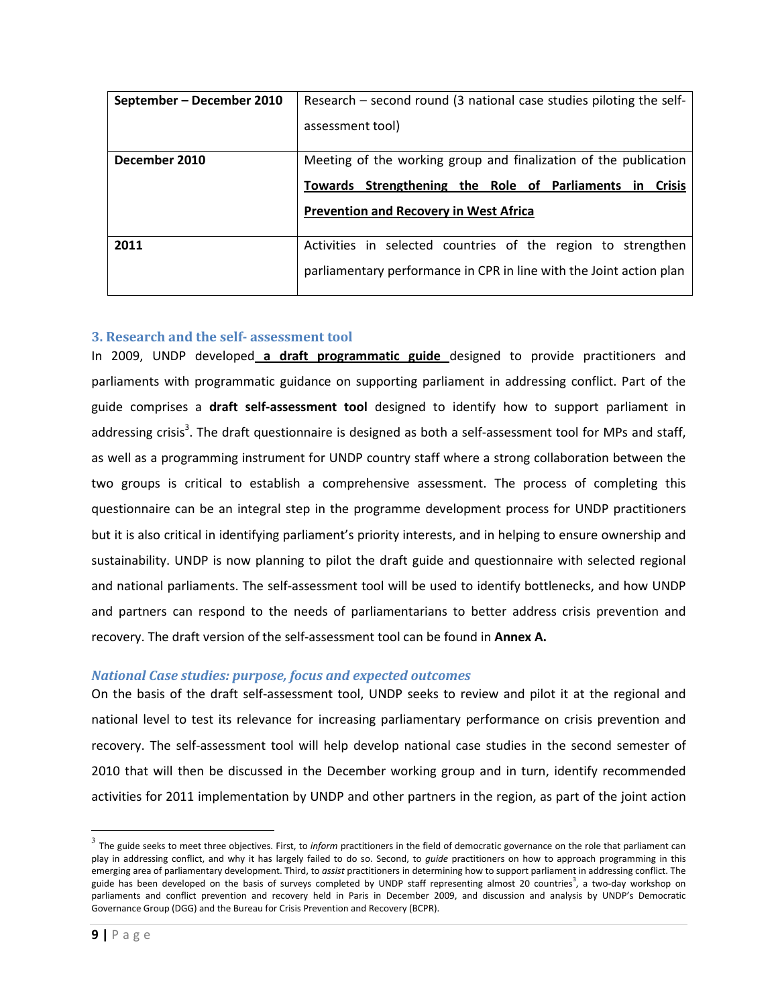<span id="page-8-0"></span>

| September – December 2010 | Research - second round (3 national case studies piloting the self- |  |  |
|---------------------------|---------------------------------------------------------------------|--|--|
|                           | assessment tool)                                                    |  |  |
| December 2010             | Meeting of the working group and finalization of the publication    |  |  |
|                           | Towards Strengthening the Role of Parliaments in Crisis             |  |  |
|                           | <b>Prevention and Recovery in West Africa</b>                       |  |  |
| 2011                      | Activities in selected countries of the region to strengthen        |  |  |
|                           | parliamentary performance in CPR in line with the Joint action plan |  |  |

#### **3. Research and the self- assessment tool**

In 2009, UNDP developed **a draft programmatic guide** designed to provide practitioners and parliaments with programmatic guidance on supporting parliament in addressing conflict. Part of the guide comprises a **draft self-assessment tool** designed to identify how to support parliament in addressing crisis<sup>3</sup>. The draft questionnaire is designed as both a self-assessment tool for MPs and staff, as well as a programming instrument for UNDP country staff where a strong collaboration between the two groups is critical to establish a comprehensive assessment. The process of completing this questionnaire can be an integral step in the programme development process for UNDP practitioners but it is also critical in identifying parliament's priority interests, and in helping to ensure ownership and sustainability. UNDP is now planning to pilot the draft guide and questionnaire with selected regional and national parliaments. The self-assessment tool will be used to identify bottlenecks, and how UNDP and partners can respond to the needs of parliamentarians to better address crisis prevention and recovery. The draft version of the self-assessment tool can be found in **Annex A.**

#### *National Case studies: purpose, focus and expected outcomes*

On the basis of the draft self-assessment tool, UNDP seeks to review and pilot it at the regional and national level to test its relevance for increasing parliamentary performance on crisis prevention and recovery. The self-assessment tool will help develop national case studies in the second semester of 2010 that will then be discussed in the December working group and in turn, identify recommended activities for 2011 implementation by UNDP and other partners in the region, as part of the joint action

l

<sup>&</sup>lt;sup>3</sup> The guide seeks to meet three objectives. First, to *inform* practitioners in the field of democratic governance on the role that parliament can play in addressing conflict, and why it has largely failed to do so. Second, to *guide* practitioners on how to approach programming in this emerging area of parliamentary development. Third, to *assist* practitioners in determining how to support parliament in addressing conflict. The guide has been developed on the basis of surveys completed by UNDP staff representing almost 20 countries<sup>3</sup>, a two-day workshop on parliaments and conflict prevention and recovery held in Paris in December 2009, and discussion and analysis by UNDP's Democratic Governance Group (DGG) and the Bureau for Crisis Prevention and Recovery (BCPR).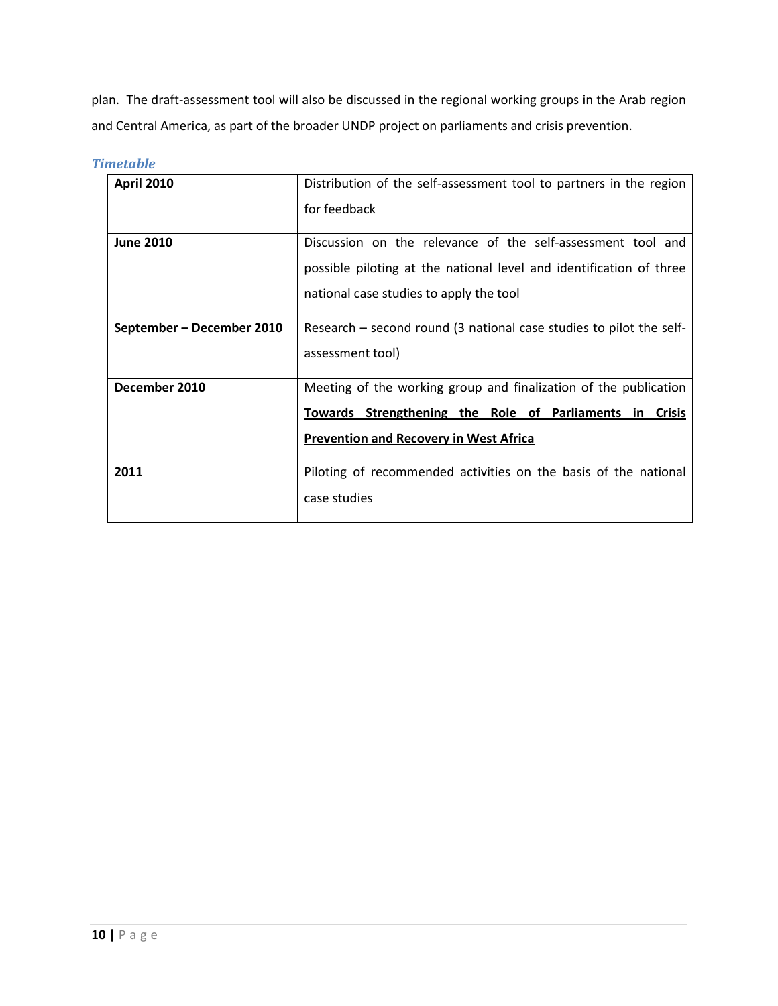plan. The draft-assessment tool will also be discussed in the regional working groups in the Arab region and Central America, as part of the broader UNDP project on parliaments and crisis prevention.

| <b>April 2010</b>         | Distribution of the self-assessment tool to partners in the region  |
|---------------------------|---------------------------------------------------------------------|
|                           | for feedback                                                        |
| <b>June 2010</b>          | Discussion on the relevance of the self-assessment tool and         |
|                           | possible piloting at the national level and identification of three |
|                           | national case studies to apply the tool                             |
| September – December 2010 | Research – second round (3 national case studies to pilot the self- |
|                           | assessment tool)                                                    |
| December 2010             | Meeting of the working group and finalization of the publication    |
|                           | Towards Strengthening the Role of Parliaments in Crisis             |
|                           | <b>Prevention and Recovery in West Africa</b>                       |
| 2011                      | Piloting of recommended activities on the basis of the national     |
|                           | case studies                                                        |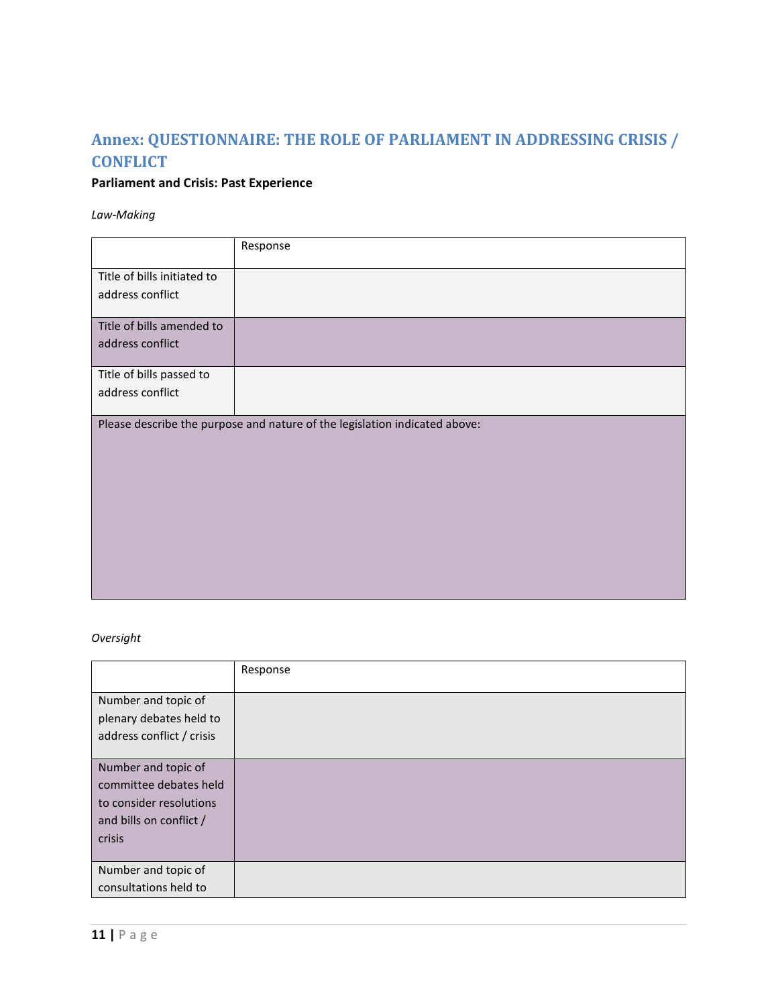# <span id="page-10-0"></span>**Annex: QUESTIONNAIRE: THE ROLE OF PARLIAMENT IN ADDRESSING CRISIS / CONFLICT**

## **Parliament and Crisis: Past Experience**

*Law-Making* 

|                             | Response                                                                   |
|-----------------------------|----------------------------------------------------------------------------|
| Title of bills initiated to |                                                                            |
| address conflict            |                                                                            |
| Title of bills amended to   |                                                                            |
| address conflict            |                                                                            |
|                             |                                                                            |
| Title of bills passed to    |                                                                            |
| address conflict            |                                                                            |
|                             |                                                                            |
|                             | Please describe the purpose and nature of the legislation indicated above: |
|                             |                                                                            |
|                             |                                                                            |
|                             |                                                                            |
|                             |                                                                            |
|                             |                                                                            |
|                             |                                                                            |
|                             |                                                                            |
|                             |                                                                            |
|                             |                                                                            |
|                             |                                                                            |

## *Oversight*

|                           | Response |
|---------------------------|----------|
| Number and topic of       |          |
| plenary debates held to   |          |
| address conflict / crisis |          |
|                           |          |
| Number and topic of       |          |
| committee debates held    |          |
| to consider resolutions   |          |
| and bills on conflict /   |          |
| crisis                    |          |
|                           |          |
| Number and topic of       |          |
| consultations held to     |          |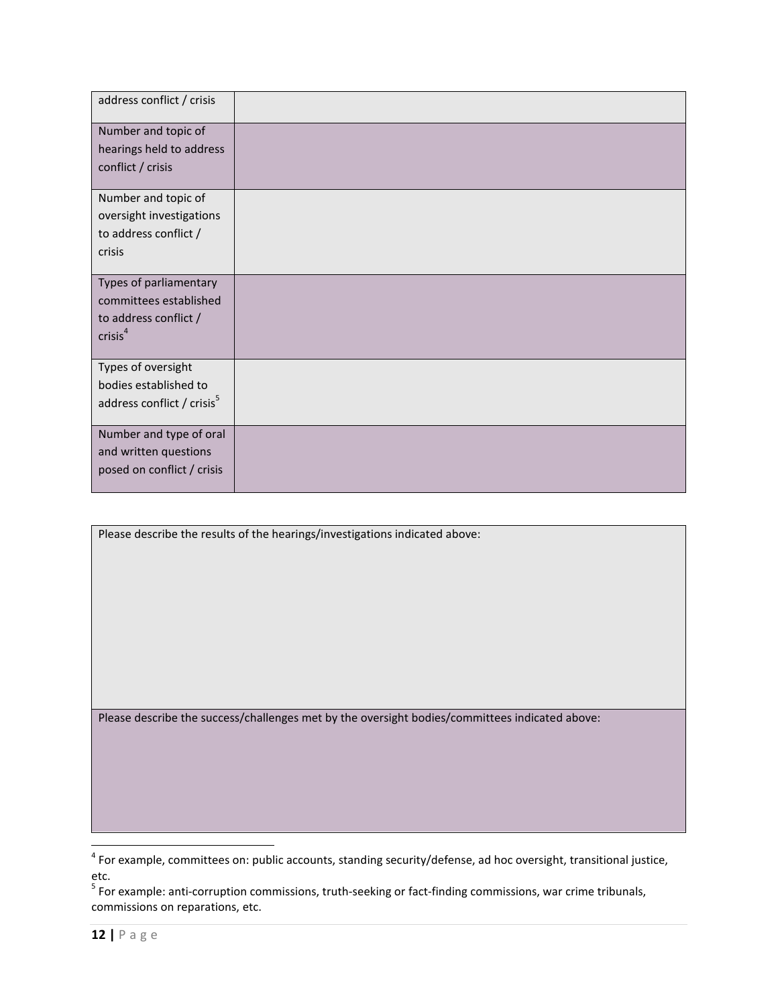| address conflict / crisis              |  |
|----------------------------------------|--|
| Number and topic of                    |  |
| hearings held to address               |  |
| conflict / crisis                      |  |
| Number and topic of                    |  |
| oversight investigations               |  |
| to address conflict /                  |  |
| crisis                                 |  |
| Types of parliamentary                 |  |
| committees established                 |  |
| to address conflict /                  |  |
| crisis <sup>4</sup>                    |  |
| Types of oversight                     |  |
| bodies established to                  |  |
| address conflict / crisis <sup>5</sup> |  |
|                                        |  |
| Number and type of oral                |  |
| and written questions                  |  |
| posed on conflict / crisis             |  |

| Please describe the results of the hearings/investigations indicated above: |
|-----------------------------------------------------------------------------|

Please describe the success/challenges met by the oversight bodies/committees indicated above:

 4 For example, committees on: public accounts, standing security/defense, ad hoc oversight, transitional justice, etc.

<sup>&</sup>lt;sup>5</sup> For example: anti-corruption commissions, truth-seeking or fact-finding commissions, war crime tribunals, commissions on reparations, etc.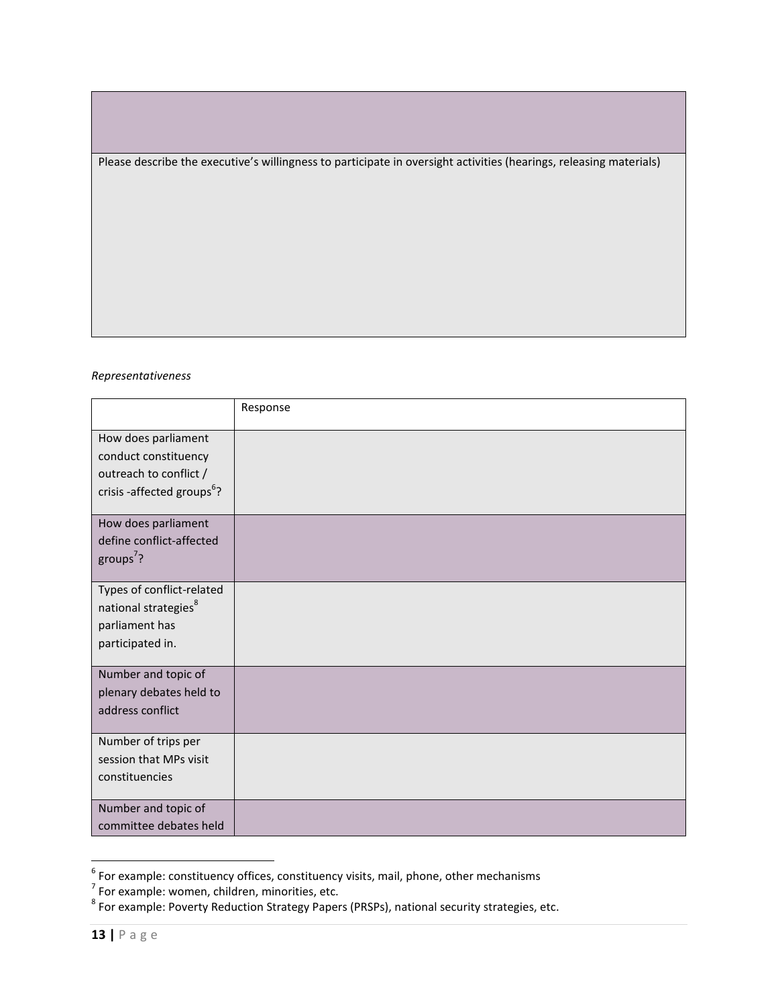Please describe the executive's willingness to participate in oversight activities (hearings, releasing materials)

#### *Representativeness*

|                                                                                                                 | Response |
|-----------------------------------------------------------------------------------------------------------------|----------|
| How does parliament<br>conduct constituency<br>outreach to conflict /<br>crisis -affected groups <sup>6</sup> ? |          |
| How does parliament<br>define conflict-affected<br>groups <sup>7</sup> ?                                        |          |
| Types of conflict-related<br>national strategies <sup>8</sup><br>parliament has<br>participated in.             |          |
| Number and topic of<br>plenary debates held to<br>address conflict                                              |          |
| Number of trips per<br>session that MPs visit<br>constituencies                                                 |          |
| Number and topic of<br>committee debates held                                                                   |          |

<sup>&</sup>lt;sup>6</sup><br>For example: constituency offices, constituency visits, mail, phone, other mechanisms<br><sup>7</sup> For example: women, children, minorities, etc.<br><sup>8</sup> For example: Poverty Reduction Strategy Papers (PRSPs), national security str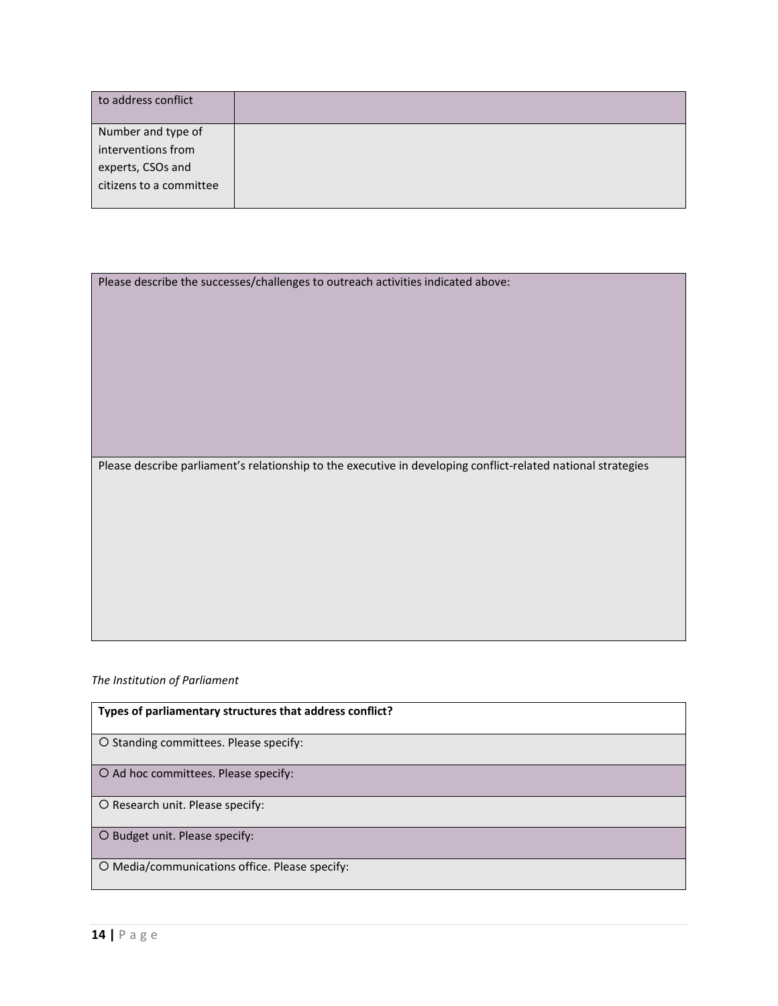| to address conflict     |  |
|-------------------------|--|
| Number and type of      |  |
| interventions from      |  |
| experts, CSOs and       |  |
| citizens to a committee |  |
|                         |  |

| Please describe the successes/challenges to outreach activities indicated above: |  |
|----------------------------------------------------------------------------------|--|
|                                                                                  |  |
|                                                                                  |  |

Please describe parliament's relationship to the executive in developing conflict-related national strategies

## *The Institution of Parliament*

| Types of parliamentary structures that address conflict? |
|----------------------------------------------------------|
| O Standing committees. Please specify:                   |
| O Ad hoc committees. Please specify:                     |
| O Research unit. Please specify:                         |
| O Budget unit. Please specify:                           |
| O Media/communications office. Please specify:           |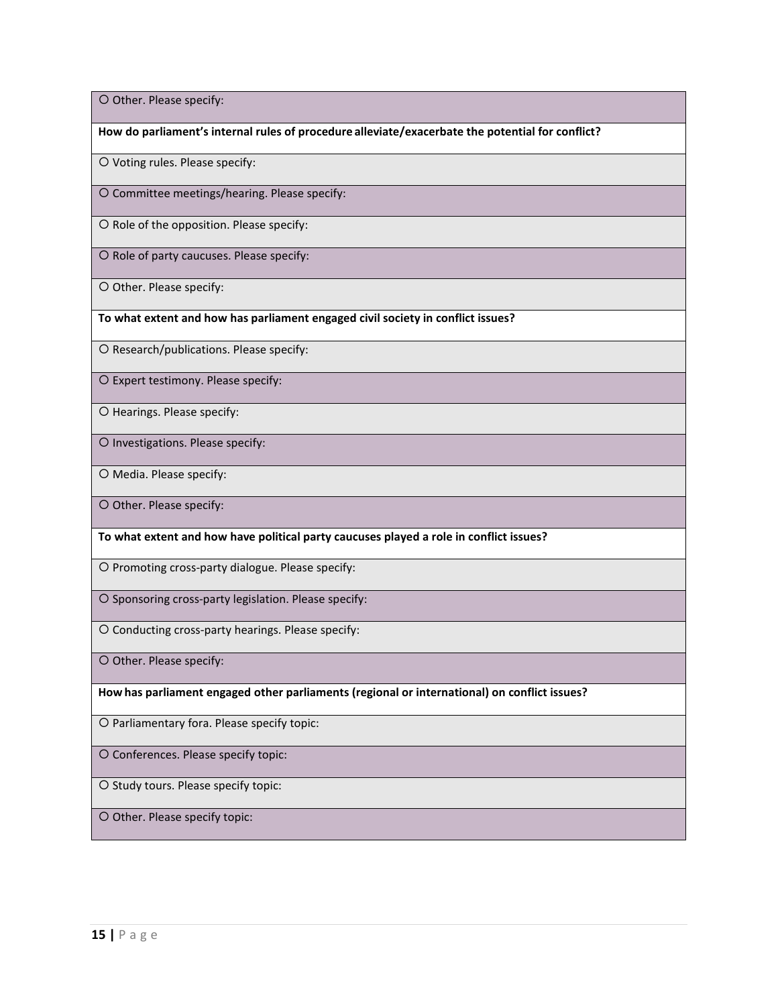O Other. Please specify:

**How do parliament's internal rules of procedure alleviate/exacerbate the potential for conflict?**

O Voting rules. Please specify:

O Committee meetings/hearing. Please specify:

 $O$  Role of the opposition. Please specify:

O Role of party caucuses. Please specify:

O Other. Please specify:

**To what extent and how has parliament engaged civil society in conflict issues?**

O Research/publications. Please specify:

O Expert testimony. Please specify:

O Hearings. Please specify:

O Investigations. Please specify:

O Media. Please specify:

O Other. Please specify:

**To what extent and how have political party caucuses played a role in conflict issues?**

O Promoting cross-party dialogue. Please specify:

O Sponsoring cross-party legislation. Please specify:

O Conducting cross-party hearings. Please specify:

O Other. Please specify:

**Howhas parliament engaged other parliaments (regional or international) on conflict issues?** 

O Parliamentary fora. Please specify topic:

O Conferences. Please specify topic:

O Study tours. Please specify topic:

O Other. Please specify topic: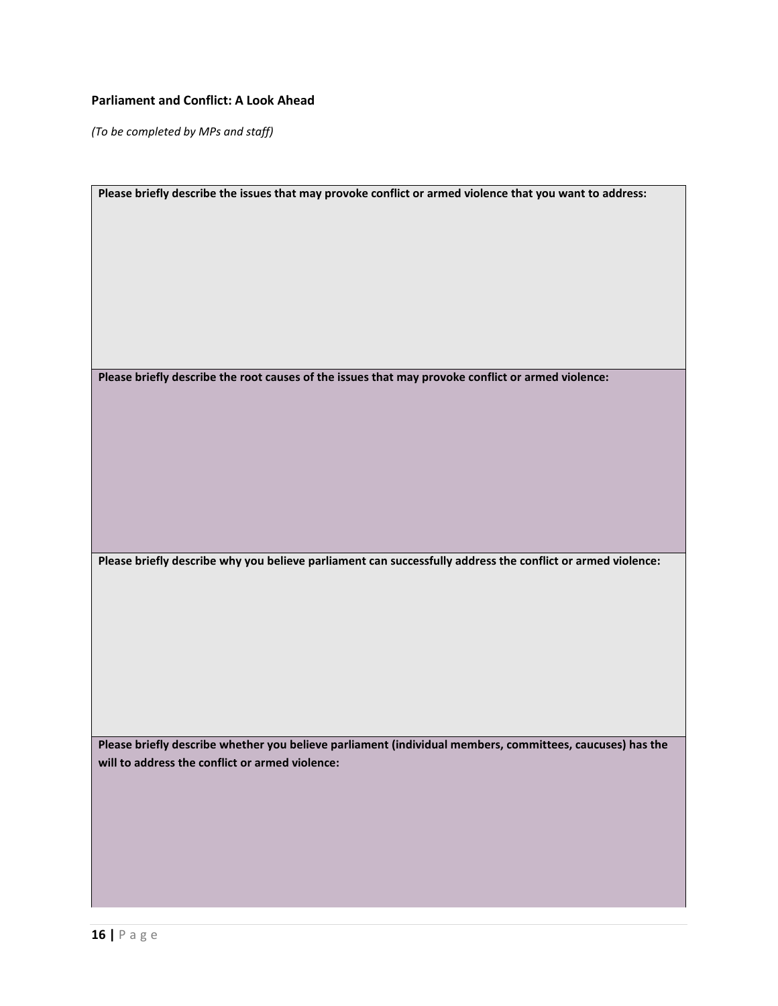## **Parliament and Conflict: A Look Ahead**

*(To be completed by MPs and staff)* 

| Please briefly describe the issues that may provoke conflict or armed violence that you want to address:    |
|-------------------------------------------------------------------------------------------------------------|
|                                                                                                             |
|                                                                                                             |
|                                                                                                             |
|                                                                                                             |
|                                                                                                             |
|                                                                                                             |
|                                                                                                             |
|                                                                                                             |
|                                                                                                             |
|                                                                                                             |
| Please briefly describe the root causes of the issues that may provoke conflict or armed violence:          |
|                                                                                                             |
|                                                                                                             |
|                                                                                                             |
|                                                                                                             |
|                                                                                                             |
|                                                                                                             |
|                                                                                                             |
|                                                                                                             |
|                                                                                                             |
|                                                                                                             |
| Please briefly describe why you believe parliament can successfully address the conflict or armed violence: |
|                                                                                                             |
|                                                                                                             |
|                                                                                                             |
|                                                                                                             |
|                                                                                                             |
|                                                                                                             |
|                                                                                                             |
|                                                                                                             |
|                                                                                                             |
|                                                                                                             |
|                                                                                                             |
|                                                                                                             |
| Please briefly describe whether you believe parliament (individual members, committees, caucuses) has the   |
| will to address the conflict or armed violence:                                                             |
|                                                                                                             |
|                                                                                                             |
|                                                                                                             |
|                                                                                                             |
|                                                                                                             |
|                                                                                                             |
|                                                                                                             |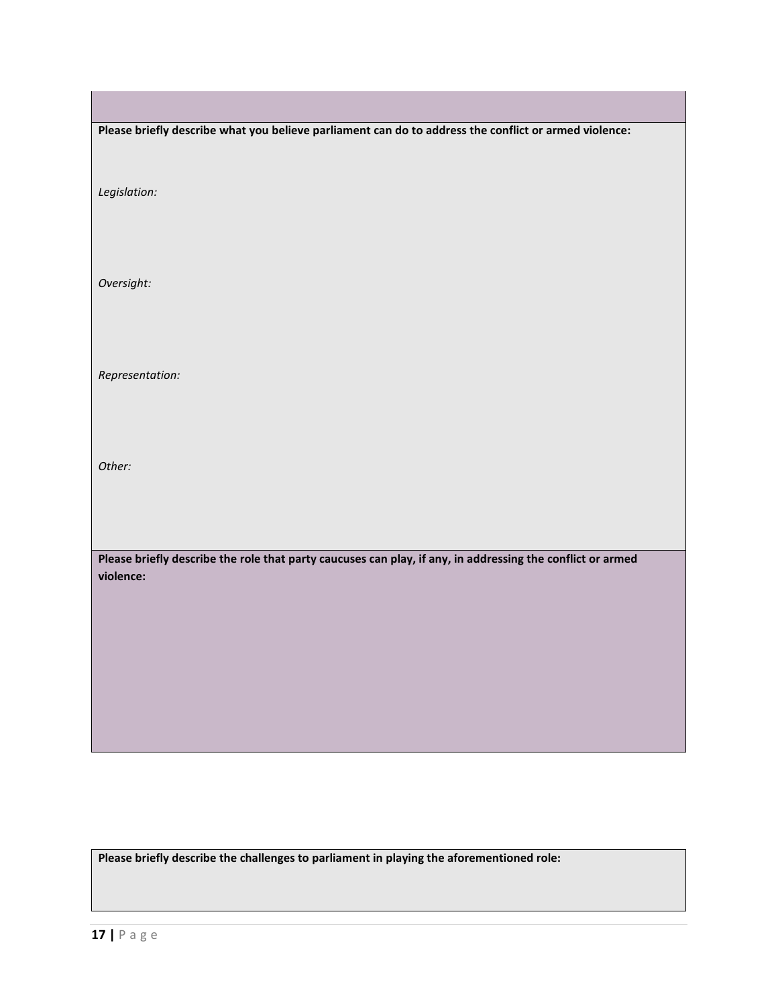| Please briefly describe what you believe parliament can do to address the conflict or armed violence:                   |
|-------------------------------------------------------------------------------------------------------------------------|
|                                                                                                                         |
|                                                                                                                         |
| Legislation:                                                                                                            |
|                                                                                                                         |
|                                                                                                                         |
| Oversight:                                                                                                              |
|                                                                                                                         |
|                                                                                                                         |
|                                                                                                                         |
| Representation:                                                                                                         |
|                                                                                                                         |
|                                                                                                                         |
|                                                                                                                         |
| Other:                                                                                                                  |
|                                                                                                                         |
|                                                                                                                         |
|                                                                                                                         |
| Please briefly describe the role that party caucuses can play, if any, in addressing the conflict or armed<br>violence: |
|                                                                                                                         |
|                                                                                                                         |
|                                                                                                                         |
|                                                                                                                         |
|                                                                                                                         |
|                                                                                                                         |
|                                                                                                                         |
|                                                                                                                         |

**Please briefly describe the challenges to parliament in playing the aforementioned role:** 

г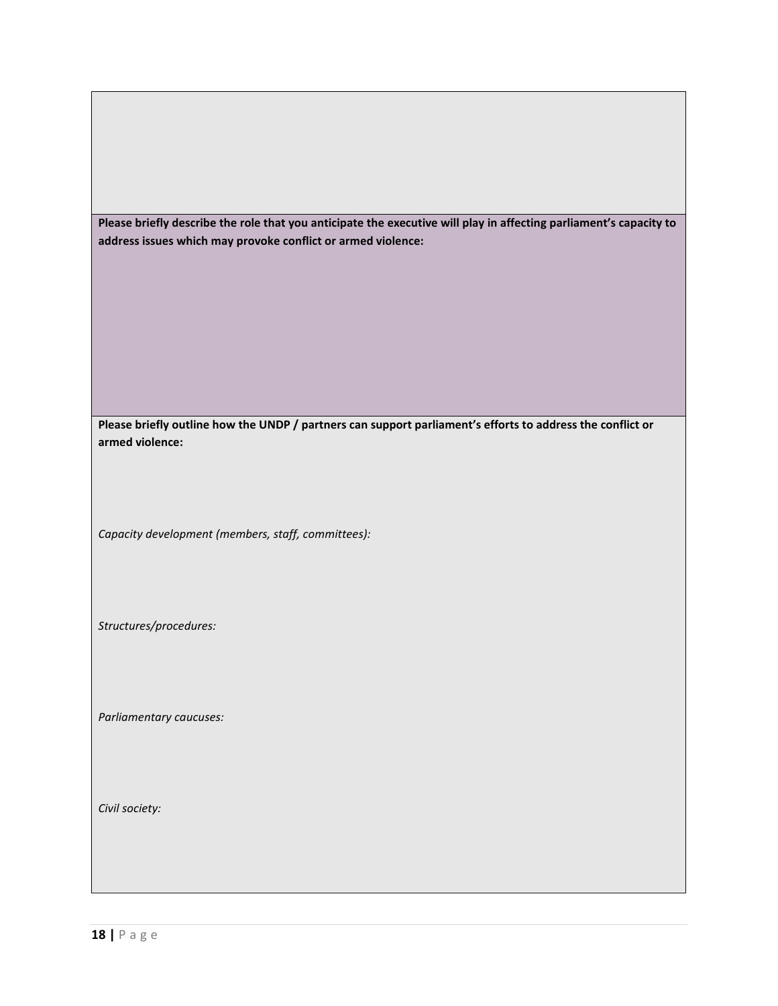**Please briefly describe the role that you anticipate the executive will play in affecting parliament's capacity to address issues which may provoke conflict or armed violence:** 

**Please briefly outline how the UNDP / partners can support parliament's efforts to address the conflict or armed violence:** 

*Capacity development (members, staff, committees):* 

*Structures/procedures:* 

*Parliamentary caucuses:* 

*Civil society:*